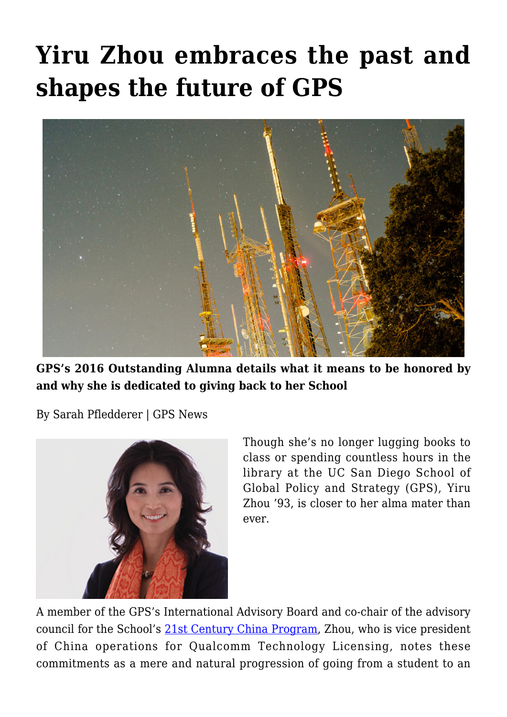## **[Yiru Zhou embraces the past and](https://gpsnews.ucsd.edu/yiru-zhou-embraces-the-past-and-shapes-the-future-of-gps/) [shapes the future of GPS](https://gpsnews.ucsd.edu/yiru-zhou-embraces-the-past-and-shapes-the-future-of-gps/)**



**GPS's 2016 Outstanding Alumna details what it means to be honored by and why she is dedicated to giving back to her School**

By Sarah Pfledderer | GPS News



Though she's no longer lugging books to class or spending countless hours in the library at the UC San Diego School of Global Policy and Strategy (GPS), Yiru Zhou '93, is closer to her alma mater than ever.

A member of the GPS's International Advisory Board and co-chair of the advisory council for the School's [21st Century China Program,](http://china.ucsd.edu/) Zhou, who is vice president of China operations for Qualcomm Technology Licensing, notes these commitments as a mere and natural progression of going from a student to an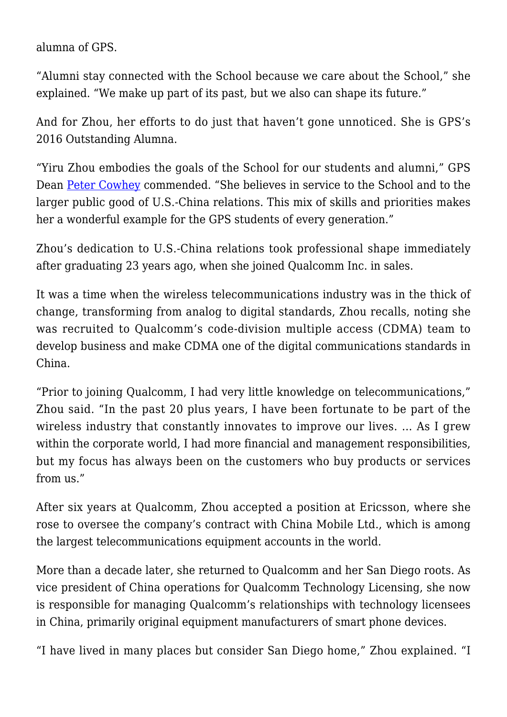alumna of GPS.

"Alumni stay connected with the School because we care about the School," she explained. "We make up part of its past, but we also can shape its future."

And for Zhou, her efforts to do just that haven't gone unnoticed. She is GPS's 2016 Outstanding Alumna.

"Yiru Zhou embodies the goals of the School for our students and alumni," GPS Dean [Peter Cowhey](https://gps.ucsd.edu/faculty-directory/peter-cowhey.html) commended. "She believes in service to the School and to the larger public good of U.S.-China relations. This mix of skills and priorities makes her a wonderful example for the GPS students of every generation."

Zhou's dedication to U.S.-China relations took professional shape immediately after graduating 23 years ago, when she joined Qualcomm Inc. in sales.

It was a time when the wireless telecommunications industry was in the thick of change, transforming from analog to digital standards, Zhou recalls, noting she was recruited to Qualcomm's code-division multiple access (CDMA) team to develop business and make CDMA one of the digital communications standards in China.

"Prior to joining Qualcomm, I had very little knowledge on telecommunications," Zhou said. "In the past 20 plus years, I have been fortunate to be part of the wireless industry that constantly innovates to improve our lives. … As I grew within the corporate world. I had more financial and management responsibilities, but my focus has always been on the customers who buy products or services from us."

After six years at Qualcomm, Zhou accepted a position at Ericsson, where she rose to oversee the company's contract with China Mobile Ltd., which is among the largest telecommunications equipment accounts in the world.

More than a decade later, she returned to Qualcomm and her San Diego roots. As vice president of China operations for Qualcomm Technology Licensing, she now is responsible for managing Qualcomm's relationships with technology licensees in China, primarily original equipment manufacturers of smart phone devices.

"I have lived in many places but consider San Diego home," Zhou explained. "I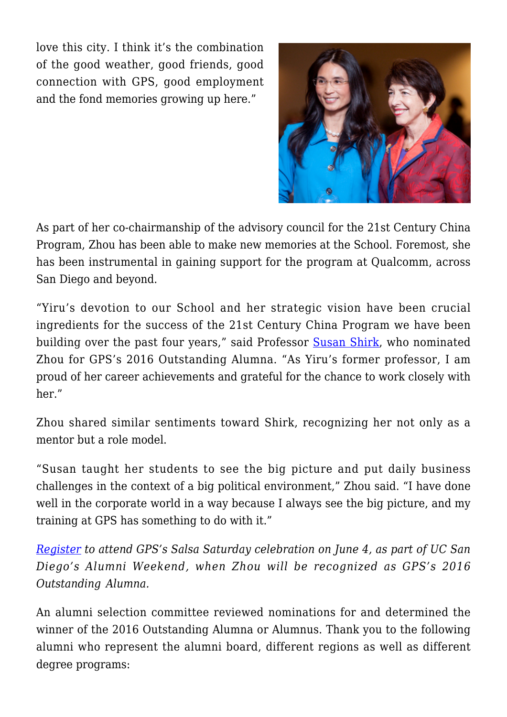love this city. I think it's the combination of the good weather, good friends, good connection with GPS, good employment and the fond memories growing up here."



As part of her co-chairmanship of the advisory council for the 21st Century China Program, Zhou has been able to make new memories at the School. Foremost, she has been instrumental in gaining support for the program at Qualcomm, across San Diego and beyond.

"Yiru's devotion to our School and her strategic vision have been crucial ingredients for the success of the 21st Century China Program we have been building over the past four years," said Professor [Susan Shirk](https://gps.ucsd.edu/faculty-directory/susan-shirk.html), who nominated Zhou for GPS's 2016 Outstanding Alumna. "As Yiru's former professor, I am proud of her career achievements and grateful for the chance to work closely with her."

Zhou shared similar sentiments toward Shirk, recognizing her not only as a mentor but a role model.

"Susan taught her students to see the big picture and put daily business challenges in the context of a big political environment," Zhou said. "I have done well in the corporate world in a way because I always see the big picture, and my training at GPS has something to do with it."

*[Register](https://www.eventbrite.com/e/alumni-weekend-2016-salsa-saturday-tickets-22586322298) to attend GPS's Salsa Saturday celebration on June 4, as part of UC San Diego's Alumni Weekend, when Zhou will be recognized as GPS's 2016 Outstanding Alumna.*

An alumni selection committee reviewed nominations for and determined the winner of the 2016 Outstanding Alumna or Alumnus. Thank you to the following alumni who represent the alumni board, different regions as well as different degree programs: